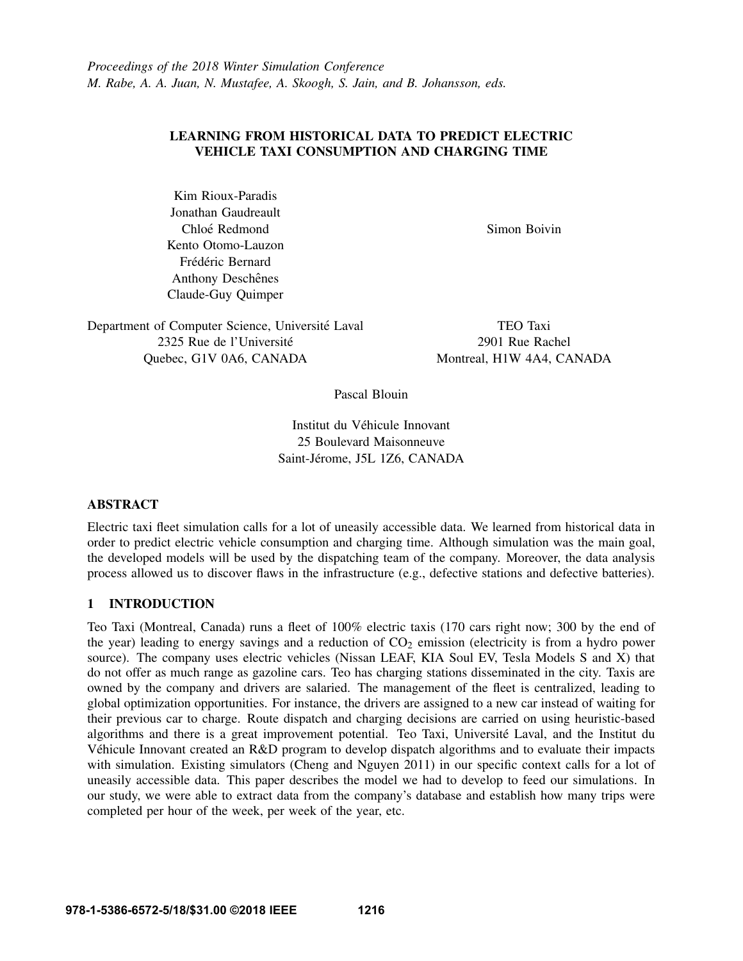## LEARNING FROM HISTORICAL DATA TO PREDICT ELECTRIC VEHICLE TAXI CONSUMPTION AND CHARGING TIME

Kim Rioux-Paradis Jonathan Gaudreault Chloé Redmond Kento Otomo-Lauzon Frédéric Bernard Anthony Deschênes Claude-Guy Quimper

Simon Boivin

Department of Computer Science, Université Laval 2325 Rue de l'Universite´ Quebec, G1V 0A6, CANADA

TEO Taxi 2901 Rue Rachel Montreal, H1W 4A4, CANADA

Pascal Blouin

Institut du Vehicule Innovant ´ 25 Boulevard Maisonneuve Saint-Jérome, J5L 1Z6, CANADA

## ABSTRACT

Electric taxi fleet simulation calls for a lot of uneasily accessible data. We learned from historical data in order to predict electric vehicle consumption and charging time. Although simulation was the main goal, the developed models will be used by the dispatching team of the company. Moreover, the data analysis process allowed us to discover flaws in the infrastructure (e.g., defective stations and defective batteries).

# 1 INTRODUCTION

Teo Taxi (Montreal, Canada) runs a fleet of 100% electric taxis (170 cars right now; 300 by the end of the year) leading to energy savings and a reduction of  $CO<sub>2</sub>$  emission (electricity is from a hydro power source). The company uses electric vehicles (Nissan LEAF, KIA Soul EV, Tesla Models S and X) that do not offer as much range as gazoline cars. Teo has charging stations disseminated in the city. Taxis are owned by the company and drivers are salaried. The management of the fleet is centralized, leading to global optimization opportunities. For instance, the drivers are assigned to a new car instead of waiting for their previous car to charge. Route dispatch and charging decisions are carried on using heuristic-based algorithms and there is a great improvement potential. Teo Taxi, Université Laval, and the Institut du Vehicule Innovant created an R&D program to develop dispatch algorithms and to evaluate their impacts ´ with simulation. Existing simulators (Cheng and Nguyen 2011) in our specific context calls for a lot of uneasily accessible data. This paper describes the model we had to develop to feed our simulations. In our study, we were able to extract data from the company's database and establish how many trips were completed per hour of the week, per week of the year, etc.